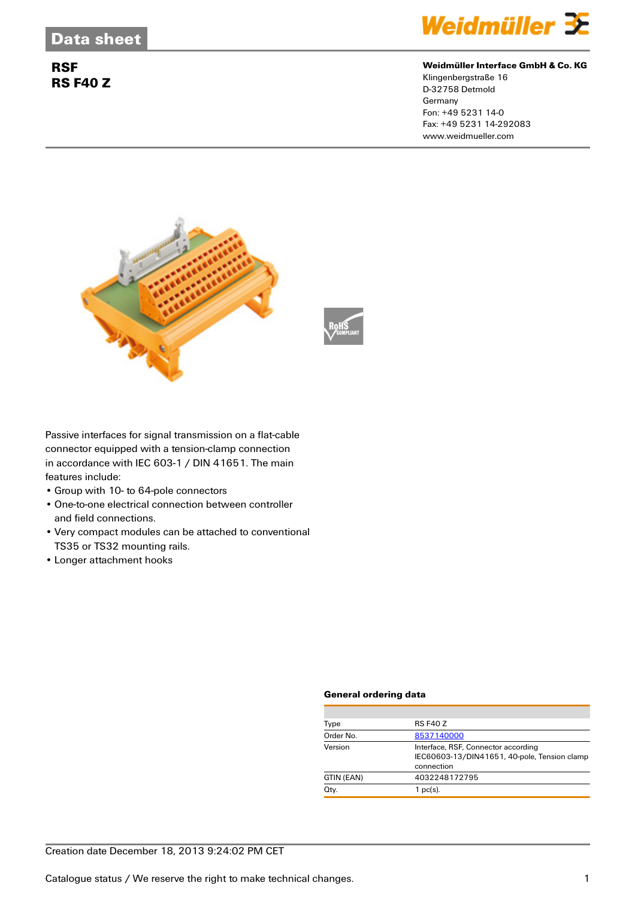## **RSF RS F40 Z**



#### **Weidmüller Interface GmbH & Co. KG**

Klingenbergstraße 16 D-32758 Detmold Germany Fon: +49 5231 14-0 Fax: +49 5231 14-292083 www.weidmueller.com





Passive interfaces for signal transmission on a flat-cable connector equipped with a tension-clamp connection in accordance with IEC 603-1 / DIN 41651. The main features include:

- Group with 10- to 64-pole connectors
- One-to-one electrical connection between controller and field connections.
- Very compact modules can be attached to conventional TS35 or TS32 mounting rails.
- Longer attachment hooks

#### **General ordering data**

| Type       | <b>RS F40 Z</b>                                                                                   |  |  |
|------------|---------------------------------------------------------------------------------------------------|--|--|
| Order No.  | 8537140000                                                                                        |  |  |
| Version    | Interface, RSF, Connector according<br>IEC60603-13/DIN41651, 40-pole, Tension clamp<br>connection |  |  |
| GTIN (EAN) | 4032248172795                                                                                     |  |  |
| Qty.       | $1$ pc(s).                                                                                        |  |  |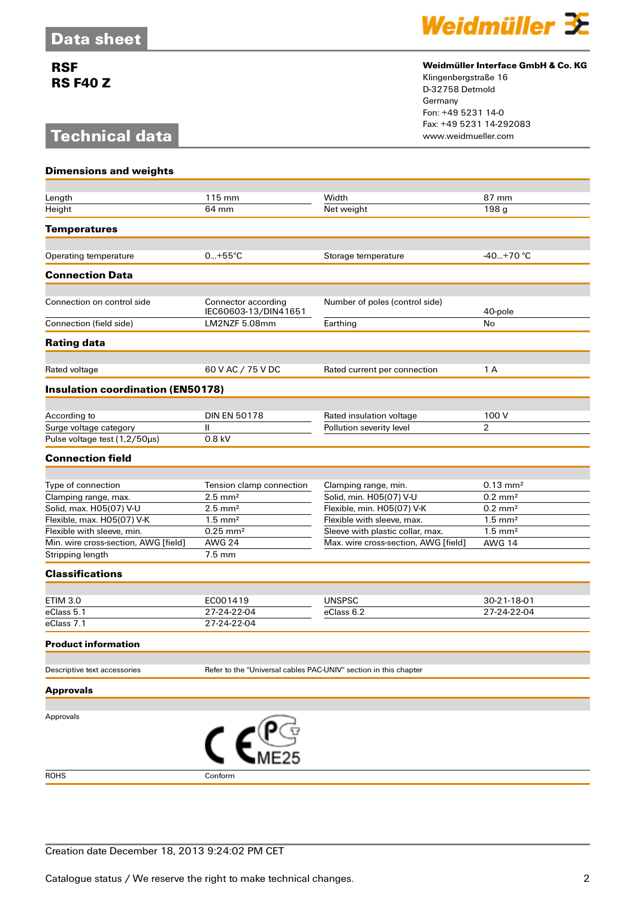## **RSF RS F40 Z**

# **Technical data**



### **Weidmüller Interface GmbH & Co. KG**

Klingenbergstraße 16 D-32758 Detmold Germany Fon: +49 5231 14-0 Fax: +49 5231 14-292083

| <b>Dimensions and weights</b>            |                                                                  |                                      |                       |  |
|------------------------------------------|------------------------------------------------------------------|--------------------------------------|-----------------------|--|
|                                          |                                                                  |                                      |                       |  |
| Length                                   | 115 mm                                                           | Width                                | 87 mm                 |  |
| Height                                   | 64 mm                                                            | Net weight                           | 198 g                 |  |
| <b>Temperatures</b>                      |                                                                  |                                      |                       |  |
|                                          |                                                                  |                                      |                       |  |
| Operating temperature                    | $0+55^{\circ}C$                                                  | Storage temperature                  | $-40+70$ °C           |  |
| <b>Connection Data</b>                   |                                                                  |                                      |                       |  |
| Connection on control side               | Connector according                                              | Number of poles (control side)       |                       |  |
|                                          | IEC60603-13/DIN41651                                             |                                      | 40-pole               |  |
| Connection (field side)                  | LM2NZF 5.08mm                                                    | Earthing                             | No                    |  |
| <b>Rating data</b>                       |                                                                  |                                      |                       |  |
| Rated voltage                            | 60 V AC / 75 V DC                                                | Rated current per connection         | 1 A                   |  |
| <b>Insulation coordination (EN50178)</b> |                                                                  |                                      |                       |  |
|                                          |                                                                  |                                      |                       |  |
| According to                             | <b>DIN EN 50178</b>                                              | Rated insulation voltage             | 100 V                 |  |
| Surge voltage category                   | $\mathbf{II}$                                                    | Pollution severity level             | $\overline{2}$        |  |
| Pulse voltage test (1,2/50µs)            | 0.8 kV                                                           |                                      |                       |  |
| <b>Connection field</b>                  |                                                                  |                                      |                       |  |
|                                          |                                                                  |                                      |                       |  |
| Type of connection                       | Tension clamp connection                                         | Clamping range, min.                 | $0.13 \text{ mm}^2$   |  |
| Clamping range, max.                     | $2.5$ mm <sup>2</sup>                                            | Solid, min. H05(07) V-U              | $0.2 \text{ mm}^2$    |  |
| Solid, max. H05(07) V-U                  | $2.5$ mm <sup>2</sup>                                            | Flexible, min. H05(07) V-K           | $0.2$ mm <sup>2</sup> |  |
| Flexible, max. H05(07) V-K               | $1.5$ mm <sup>2</sup>                                            | Flexible with sleeve, max.           | $1.5$ mm <sup>2</sup> |  |
| Flexible with sleeve, min.               | $0.25$ mm <sup>2</sup>                                           | Sleeve with plastic collar, max.     | $1.5$ mm <sup>2</sup> |  |
| Min. wire cross-section, AWG [field]     | <b>AWG 24</b><br>$7.5 \text{ mm}$                                | Max. wire cross-section, AWG [field] | <b>AWG 14</b>         |  |
| Stripping length                         |                                                                  |                                      |                       |  |
| <b>Classifications</b>                   |                                                                  |                                      |                       |  |
| <b>ETIM 3.0</b>                          | EC001419                                                         | <b>UNSPSC</b>                        | 30-21-18-01           |  |
| eClass 5.1                               | 27-24-22-04                                                      | eClass 6.2                           | 27-24-22-04           |  |
| eClass 7.1                               | 27-24-22-04                                                      |                                      |                       |  |
| Product information                      |                                                                  |                                      |                       |  |
|                                          |                                                                  |                                      |                       |  |
| Descriptive text accessories             | Refer to the "Universal cables PAC-UNIV" section in this chapter |                                      |                       |  |
| <b>Approvals</b>                         |                                                                  |                                      |                       |  |
| Approvals                                |                                                                  |                                      |                       |  |
|                                          | $\epsilon^{\text{user}}$                                         |                                      |                       |  |
|                                          |                                                                  |                                      |                       |  |
| <b>ROHS</b>                              | Conform                                                          |                                      |                       |  |

Creation date December 18, 2013 9:24:02 PM CET